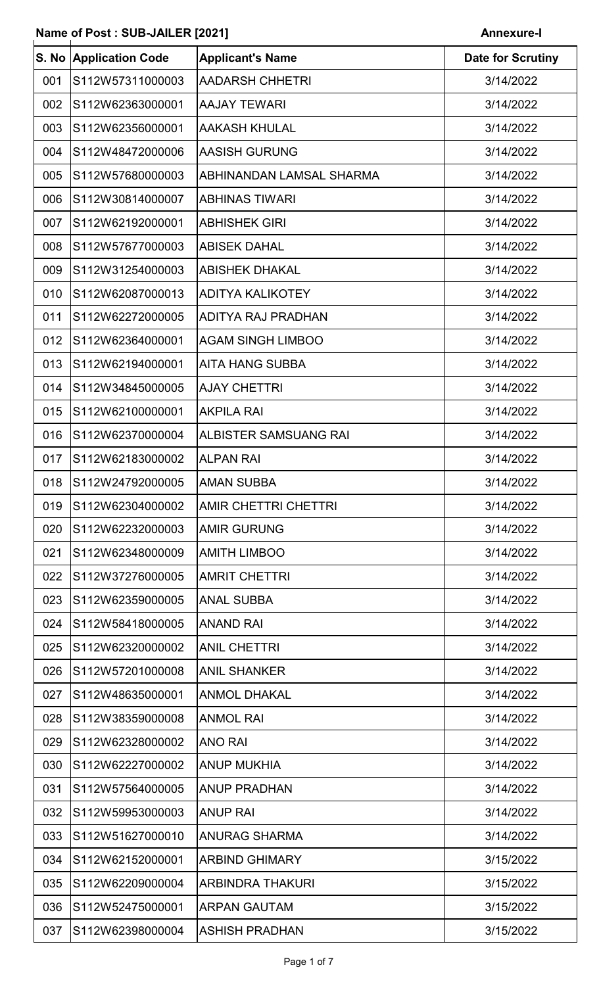$\overline{\phantom{a}}$ 

| S. No | <b>Application Code</b> | <b>Applicant's Name</b>      | <b>Date for Scrutiny</b> |
|-------|-------------------------|------------------------------|--------------------------|
| 001   | S112W57311000003        | <b>AADARSH CHHETRI</b>       | 3/14/2022                |
| 002   | S112W62363000001        | <b>AAJAY TEWARI</b>          | 3/14/2022                |
| 003   | S112W62356000001        | <b>AAKASH KHULAL</b>         | 3/14/2022                |
| 004   | S112W48472000006        | <b>AASISH GURUNG</b>         | 3/14/2022                |
| 005   | S112W57680000003        | ABHINANDAN LAMSAL SHARMA     | 3/14/2022                |
| 006   | S112W30814000007        | <b>ABHINAS TIWARI</b>        | 3/14/2022                |
| 007   | S112W62192000001        | <b>ABHISHEK GIRI</b>         | 3/14/2022                |
| 008   | S112W57677000003        | <b>ABISEK DAHAL</b>          | 3/14/2022                |
| 009   | S112W31254000003        | <b>ABISHEK DHAKAL</b>        | 3/14/2022                |
| 010   | S112W62087000013        | <b>ADITYA KALIKOTEY</b>      | 3/14/2022                |
| 011   | S112W62272000005        | <b>ADITYA RAJ PRADHAN</b>    | 3/14/2022                |
| 012   | S112W62364000001        | <b>AGAM SINGH LIMBOO</b>     | 3/14/2022                |
| 013   | S112W62194000001        | <b>AITA HANG SUBBA</b>       | 3/14/2022                |
| 014   | S112W34845000005        | <b>AJAY CHETTRI</b>          | 3/14/2022                |
| 015   | S112W62100000001        | <b>AKPILA RAI</b>            | 3/14/2022                |
| 016   | S112W62370000004        | <b>ALBISTER SAMSUANG RAI</b> | 3/14/2022                |
| 017   | S112W62183000002        | <b>ALPAN RAI</b>             | 3/14/2022                |
| 018   | S112W24792000005        | <b>AMAN SUBBA</b>            | 3/14/2022                |
| 019   | S112W62304000002        | AMIR CHETTRI CHETTRI         | 3/14/2022                |
| 020   | S112W62232000003        | <b>AMIR GURUNG</b>           | 3/14/2022                |
| 021   | S112W62348000009        | <b>AMITH LIMBOO</b>          | 3/14/2022                |
| 022   | S112W37276000005        | <b>AMRIT CHETTRI</b>         | 3/14/2022                |
| 023   | S112W62359000005        | <b>ANAL SUBBA</b>            | 3/14/2022                |
| 024   | S112W58418000005        | <b>ANAND RAI</b>             | 3/14/2022                |
| 025   | S112W62320000002        | <b>ANIL CHETTRI</b>          | 3/14/2022                |
| 026   | S112W57201000008        | ANIL SHANKER                 | 3/14/2022                |
| 027   | S112W48635000001        | <b>ANMOL DHAKAL</b>          | 3/14/2022                |
| 028   | S112W38359000008        | <b>ANMOL RAI</b>             | 3/14/2022                |
| 029   | S112W62328000002        | <b>ANO RAI</b>               | 3/14/2022                |
| 030   | S112W62227000002        | <b>ANUP MUKHIA</b>           | 3/14/2022                |
| 031   | S112W57564000005        | <b>ANUP PRADHAN</b>          | 3/14/2022                |
| 032   | S112W59953000003        | <b>ANUP RAI</b>              | 3/14/2022                |
| 033   | S112W51627000010        | ANURAG SHARMA                | 3/14/2022                |
| 034   | S112W62152000001        | <b>ARBIND GHIMARY</b>        | 3/15/2022                |
| 035   | S112W62209000004        | ARBINDRA THAKURI             | 3/15/2022                |
| 036   | S112W52475000001        | <b>ARPAN GAUTAM</b>          | 3/15/2022                |
|       | 037 S112W62398000004    | <b>ASHISH PRADHAN</b>        | 3/15/2022                |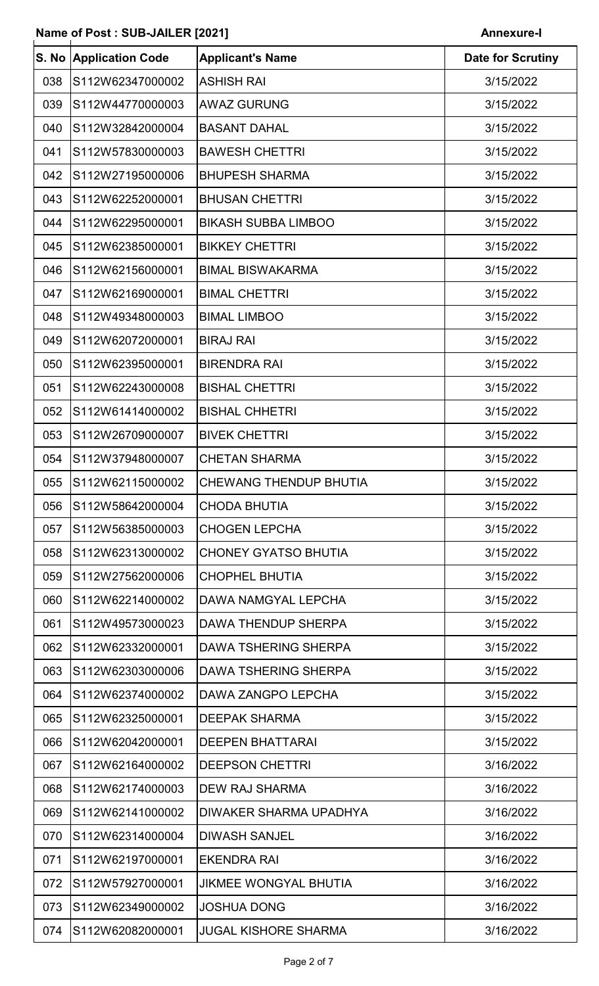| S. No | <b>Application Code</b> | <b>Applicant's Name</b>       | <b>Date for Scrutiny</b> |
|-------|-------------------------|-------------------------------|--------------------------|
| 038   | S112W62347000002        | <b>ASHISH RAI</b>             | 3/15/2022                |
| 039   | S112W44770000003        | <b>AWAZ GURUNG</b>            | 3/15/2022                |
| 040   | S112W32842000004        | <b>BASANT DAHAL</b>           | 3/15/2022                |
| 041   | S112W57830000003        | <b>BAWESH CHETTRI</b>         | 3/15/2022                |
| 042   | S112W27195000006        | <b>BHUPESH SHARMA</b>         | 3/15/2022                |
| 043   | S112W62252000001        | <b>BHUSAN CHETTRI</b>         | 3/15/2022                |
| 044   | S112W62295000001        | <b>BIKASH SUBBA LIMBOO</b>    | 3/15/2022                |
| 045   | S112W62385000001        | <b>BIKKEY CHETTRI</b>         | 3/15/2022                |
| 046   | S112W62156000001        | <b>BIMAL BISWAKARMA</b>       | 3/15/2022                |
| 047   | S112W62169000001        | <b>BIMAL CHETTRI</b>          | 3/15/2022                |
| 048   | S112W49348000003        | <b>BIMAL LIMBOO</b>           | 3/15/2022                |
| 049   | S112W62072000001        | <b>BIRAJ RAI</b>              | 3/15/2022                |
| 050   | S112W62395000001        | <b>BIRENDRA RAI</b>           | 3/15/2022                |
| 051   | S112W62243000008        | <b>BISHAL CHETTRI</b>         | 3/15/2022                |
| 052   | S112W61414000002        | <b>BISHAL CHHETRI</b>         | 3/15/2022                |
| 053   | S112W26709000007        | <b>BIVEK CHETTRI</b>          | 3/15/2022                |
| 054   | S112W37948000007        | <b>CHETAN SHARMA</b>          | 3/15/2022                |
| 055   | S112W62115000002        | <b>CHEWANG THENDUP BHUTIA</b> | 3/15/2022                |
| 056   | S112W58642000004        | <b>CHODA BHUTIA</b>           | 3/15/2022                |
| 057   | S112W56385000003        | <b>CHOGEN LEPCHA</b>          | 3/15/2022                |
| 058   | S112W62313000002        | <b>CHONEY GYATSO BHUTIA</b>   | 3/15/2022                |
| 059   | S112W27562000006        | <b>CHOPHEL BHUTIA</b>         | 3/15/2022                |
| 060   | S112W62214000002        | DAWA NAMGYAL LEPCHA           | 3/15/2022                |
| 061   | S112W49573000023        | DAWA THENDUP SHERPA           | 3/15/2022                |
| 062   | S112W62332000001        | <b>DAWA TSHERING SHERPA</b>   | 3/15/2022                |
| 063   | S112W62303000006        | <b>DAWA TSHERING SHERPA</b>   | 3/15/2022                |
| 064   | S112W62374000002        | DAWA ZANGPO LEPCHA            | 3/15/2022                |
| 065   | S112W62325000001        | <b>DEEPAK SHARMA</b>          | 3/15/2022                |
| 066   | S112W62042000001        | <b>DEEPEN BHATTARAI</b>       | 3/15/2022                |
| 067   | S112W62164000002        | <b>DEEPSON CHETTRI</b>        | 3/16/2022                |
| 068   | S112W62174000003        | <b>DEW RAJ SHARMA</b>         | 3/16/2022                |
| 069   | S112W62141000002        | <b>DIWAKER SHARMA UPADHYA</b> | 3/16/2022                |
| 070   | S112W62314000004        | <b>DIWASH SANJEL</b>          | 3/16/2022                |
| 071   | S112W62197000001        | <b>EKENDRA RAI</b>            | 3/16/2022                |
| 072   | S112W57927000001        | <b>JIKMEE WONGYAL BHUTIA</b>  | 3/16/2022                |
| 073   | S112W62349000002        | <b>JOSHUA DONG</b>            | 3/16/2022                |
| 074   | S112W62082000001        | <b>JUGAL KISHORE SHARMA</b>   | 3/16/2022                |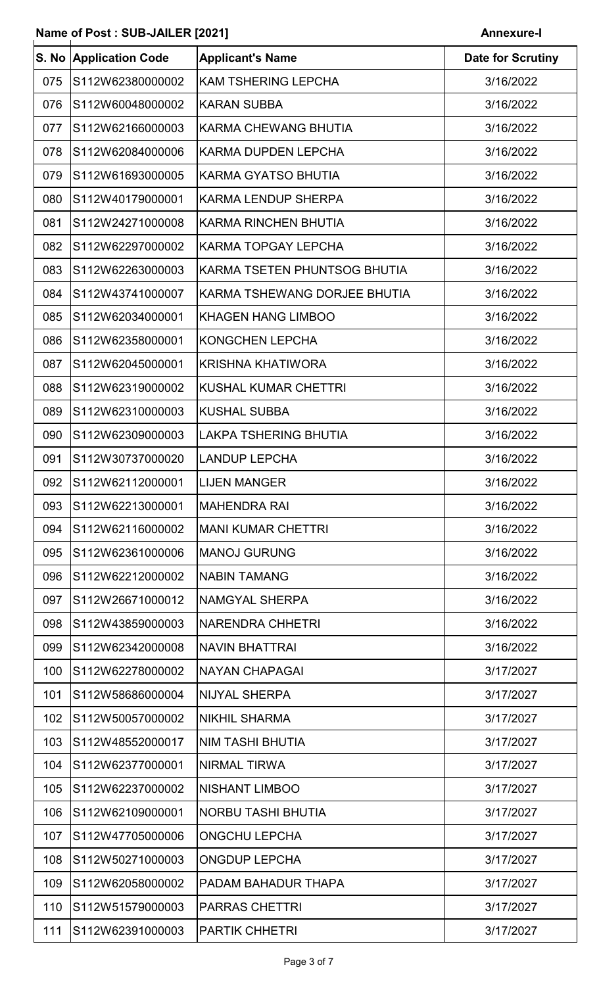|     | S. No Application Code | <b>Applicant's Name</b>      | <b>Date for Scrutiny</b> |
|-----|------------------------|------------------------------|--------------------------|
| 075 | S112W62380000002       | <b>KAM TSHERING LEPCHA</b>   | 3/16/2022                |
| 076 | S112W60048000002       | <b>KARAN SUBBA</b>           | 3/16/2022                |
| 077 | S112W62166000003       | <b>KARMA CHEWANG BHUTIA</b>  | 3/16/2022                |
| 078 | S112W62084000006       | <b>KARMA DUPDEN LEPCHA</b>   | 3/16/2022                |
| 079 | S112W61693000005       | <b>KARMA GYATSO BHUTIA</b>   | 3/16/2022                |
| 080 | S112W40179000001       | <b>KARMA LENDUP SHERPA</b>   | 3/16/2022                |
| 081 | S112W24271000008       | <b>KARMA RINCHEN BHUTIA</b>  | 3/16/2022                |
| 082 | S112W62297000002       | <b>KARMA TOPGAY LEPCHA</b>   | 3/16/2022                |
| 083 | S112W62263000003       | KARMA TSETEN PHUNTSOG BHUTIA | 3/16/2022                |
| 084 | S112W43741000007       | KARMA TSHEWANG DORJEE BHUTIA | 3/16/2022                |
| 085 | S112W62034000001       | <b>KHAGEN HANG LIMBOO</b>    | 3/16/2022                |
| 086 | S112W62358000001       | <b>KONGCHEN LEPCHA</b>       | 3/16/2022                |
| 087 | S112W62045000001       | <b>KRISHNA KHATIWORA</b>     | 3/16/2022                |
| 088 | S112W62319000002       | <b>KUSHAL KUMAR CHETTRI</b>  | 3/16/2022                |
| 089 | S112W62310000003       | <b>KUSHAL SUBBA</b>          | 3/16/2022                |
| 090 | S112W62309000003       | <b>LAKPA TSHERING BHUTIA</b> | 3/16/2022                |
| 091 | S112W30737000020       | <b>LANDUP LEPCHA</b>         | 3/16/2022                |
| 092 | S112W62112000001       | <b>LIJEN MANGER</b>          | 3/16/2022                |
| 093 | S112W62213000001       | <b>MAHENDRA RAI</b>          | 3/16/2022                |
| 094 | S112W62116000002       | <b>MANI KUMAR CHETTRI</b>    | 3/16/2022                |
| 095 | S112W62361000006       | <b>MANOJ GURUNG</b>          | 3/16/2022                |
| 096 | S112W62212000002       | <b>NABIN TAMANG</b>          | 3/16/2022                |
| 097 | S112W26671000012       | <b>NAMGYAL SHERPA</b>        | 3/16/2022                |
| 098 | S112W43859000003       | <b>NARENDRA CHHETRI</b>      | 3/16/2022                |
| 099 | S112W62342000008       | <b>NAVIN BHATTRAI</b>        | 3/16/2022                |
| 100 | S112W62278000002       | <b>NAYAN CHAPAGAI</b>        | 3/17/2027                |
| 101 | S112W58686000004       | <b>NIJYAL SHERPA</b>         | 3/17/2027                |
| 102 | S112W50057000002       | <b>NIKHIL SHARMA</b>         | 3/17/2027                |
| 103 | S112W48552000017       | NIM TASHI BHUTIA             | 3/17/2027                |
| 104 | S112W62377000001       | <b>NIRMAL TIRWA</b>          | 3/17/2027                |
| 105 | S112W62237000002       | <b>NISHANT LIMBOO</b>        | 3/17/2027                |
| 106 | S112W62109000001       | <b>NORBU TASHI BHUTIA</b>    | 3/17/2027                |
| 107 | S112W47705000006       | <b>ONGCHU LEPCHA</b>         | 3/17/2027                |
| 108 | S112W50271000003       | <b>ONGDUP LEPCHA</b>         | 3/17/2027                |
| 109 | S112W62058000002       | PADAM BAHADUR THAPA          | 3/17/2027                |
| 110 | S112W51579000003       | <b>PARRAS CHETTRI</b>        | 3/17/2027                |
| 111 | S112W62391000003       | PARTIK CHHETRI               | 3/17/2027                |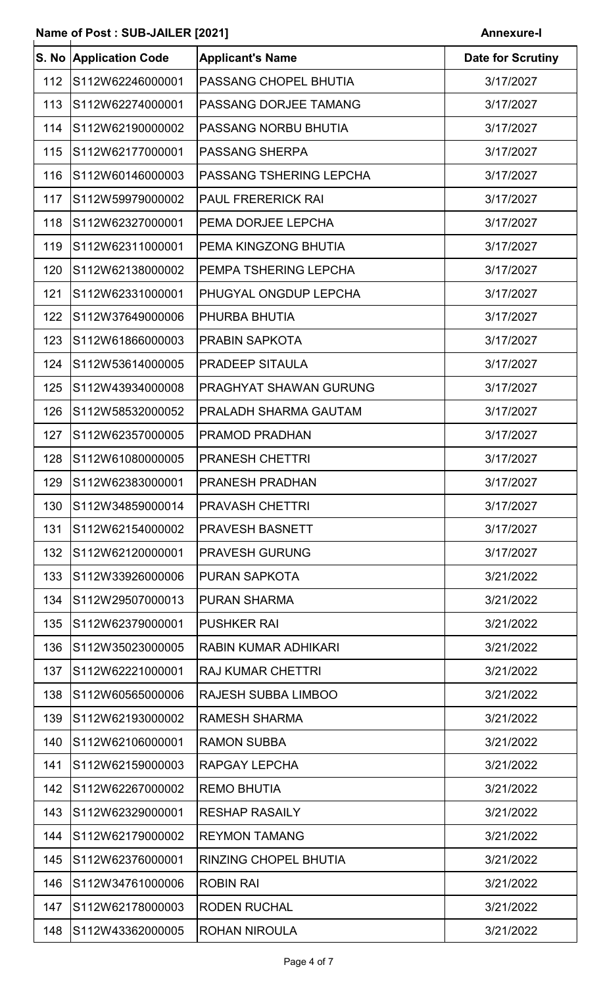|     | S. No Application Code | <b>Applicant's Name</b>        | <b>Date for Scrutiny</b> |
|-----|------------------------|--------------------------------|--------------------------|
| 112 | S112W62246000001       | PASSANG CHOPEL BHUTIA          | 3/17/2027                |
| 113 | S112W62274000001       | PASSANG DORJEE TAMANG          | 3/17/2027                |
| 114 | S112W62190000002       | PASSANG NORBU BHUTIA           | 3/17/2027                |
| 115 | S112W62177000001       | <b>PASSANG SHERPA</b>          | 3/17/2027                |
| 116 | S112W60146000003       | <b>PASSANG TSHERING LEPCHA</b> | 3/17/2027                |
| 117 | S112W59979000002       | <b>PAUL FRERERICK RAI</b>      | 3/17/2027                |
| 118 | S112W62327000001       | PEMA DORJEE LEPCHA             | 3/17/2027                |
| 119 | S112W62311000001       | PEMA KINGZONG BHUTIA           | 3/17/2027                |
| 120 | S112W62138000002       | PEMPA TSHERING LEPCHA          | 3/17/2027                |
| 121 | S112W62331000001       | PHUGYAL ONGDUP LEPCHA          | 3/17/2027                |
| 122 | S112W37649000006       | PHURBA BHUTIA                  | 3/17/2027                |
| 123 | S112W61866000003       | <b>PRABIN SAPKOTA</b>          | 3/17/2027                |
| 124 | S112W53614000005       | <b>PRADEEP SITAULA</b>         | 3/17/2027                |
| 125 | S112W43934000008       | PRAGHYAT SHAWAN GURUNG         | 3/17/2027                |
| 126 | S112W58532000052       | PRALADH SHARMA GAUTAM          | 3/17/2027                |
| 127 | S112W62357000005       | <b>PRAMOD PRADHAN</b>          | 3/17/2027                |
| 128 | S112W61080000005       | <b>PRANESH CHETTRI</b>         | 3/17/2027                |
| 129 | S112W62383000001       | PRANESH PRADHAN                | 3/17/2027                |
| 130 | S112W34859000014       | <b>PRAVASH CHETTRI</b>         | 3/17/2027                |
| 131 | S112W62154000002       | <b>PRAVESH BASNETT</b>         | 3/17/2027                |
| 132 | S112W62120000001       | <b>PRAVESH GURUNG</b>          | 3/17/2027                |
| 133 | S112W33926000006       | <b>PURAN SAPKOTA</b>           | 3/21/2022                |
| 134 | S112W29507000013       | <b>PURAN SHARMA</b>            | 3/21/2022                |
| 135 | S112W62379000001       | <b>PUSHKER RAI</b>             | 3/21/2022                |
| 136 | S112W35023000005       | RABIN KUMAR ADHIKARI           | 3/21/2022                |
| 137 | S112W62221000001       | <b>RAJ KUMAR CHETTRI</b>       | 3/21/2022                |
| 138 | S112W60565000006       | <b>RAJESH SUBBA LIMBOO</b>     | 3/21/2022                |
| 139 | S112W62193000002       | <b>RAMESH SHARMA</b>           | 3/21/2022                |
| 140 | S112W62106000001       | <b>RAMON SUBBA</b>             | 3/21/2022                |
| 141 | S112W62159000003       | RAPGAY LEPCHA                  | 3/21/2022                |
| 142 | S112W62267000002       | <b>REMO BHUTIA</b>             | 3/21/2022                |
| 143 | S112W62329000001       | <b>RESHAP RASAILY</b>          | 3/21/2022                |
| 144 | S112W62179000002       | <b>REYMON TAMANG</b>           | 3/21/2022                |
| 145 | S112W62376000001       | RINZING CHOPEL BHUTIA          | 3/21/2022                |
| 146 | S112W34761000006       | <b>ROBIN RAI</b>               | 3/21/2022                |
| 147 | S112W62178000003       | <b>RODEN RUCHAL</b>            | 3/21/2022                |
| 148 | S112W43362000005       | ROHAN NIROULA                  | 3/21/2022                |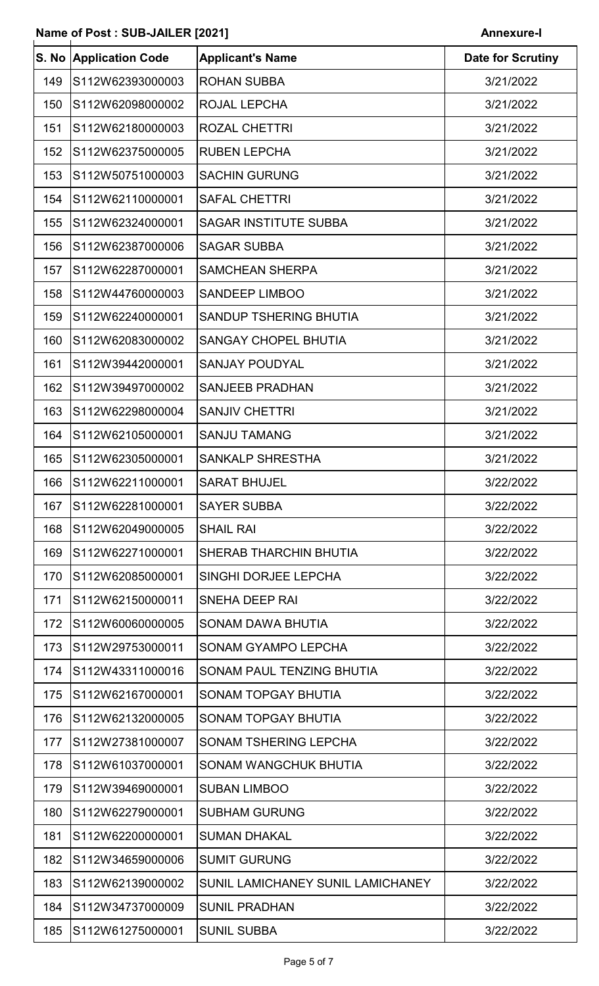| S. No | <b>Application Code</b> | <b>Applicant's Name</b>           | <b>Date for Scrutiny</b> |
|-------|-------------------------|-----------------------------------|--------------------------|
| 149   | S112W62393000003        | <b>ROHAN SUBBA</b>                | 3/21/2022                |
| 150   | S112W62098000002        | <b>ROJAL LEPCHA</b>               | 3/21/2022                |
| 151   | S112W62180000003        | <b>ROZAL CHETTRI</b>              | 3/21/2022                |
| 152   | S112W62375000005        | <b>RUBEN LEPCHA</b>               | 3/21/2022                |
| 153   | S112W50751000003        | <b>SACHIN GURUNG</b>              | 3/21/2022                |
| 154   | S112W62110000001        | <b>SAFAL CHETTRI</b>              | 3/21/2022                |
| 155   | S112W62324000001        | <b>SAGAR INSTITUTE SUBBA</b>      | 3/21/2022                |
| 156   | S112W62387000006        | <b>SAGAR SUBBA</b>                | 3/21/2022                |
| 157   | S112W62287000001        | <b>SAMCHEAN SHERPA</b>            | 3/21/2022                |
| 158   | S112W44760000003        | <b>SANDEEP LIMBOO</b>             | 3/21/2022                |
| 159   | S112W62240000001        | <b>SANDUP TSHERING BHUTIA</b>     | 3/21/2022                |
| 160   | S112W62083000002        | <b>SANGAY CHOPEL BHUTIA</b>       | 3/21/2022                |
| 161   | S112W39442000001        | <b>SANJAY POUDYAL</b>             | 3/21/2022                |
| 162   | S112W39497000002        | <b>SANJEEB PRADHAN</b>            | 3/21/2022                |
| 163   | S112W62298000004        | <b>SANJIV CHETTRI</b>             | 3/21/2022                |
| 164   | S112W62105000001        | <b>SANJU TAMANG</b>               | 3/21/2022                |
| 165   | S112W62305000001        | <b>SANKALP SHRESTHA</b>           | 3/21/2022                |
| 166   | S112W62211000001        | <b>SARAT BHUJEL</b>               | 3/22/2022                |
| 167   | S112W62281000001        | <b>SAYER SUBBA</b>                | 3/22/2022                |
| 168   | S112W62049000005        | <b>SHAIL RAI</b>                  | 3/22/2022                |
| 169   | S112W62271000001        | <b>SHERAB THARCHIN BHUTIA</b>     | 3/22/2022                |
| 170   | S112W62085000001        | SINGHI DORJEE LEPCHA              | 3/22/2022                |
| 171   | S112W62150000011        | <b>SNEHA DEEP RAI</b>             | 3/22/2022                |
| 172   | S112W60060000005        | SONAM DAWA BHUTIA                 | 3/22/2022                |
| 173   | S112W29753000011        | <b>SONAM GYAMPO LEPCHA</b>        | 3/22/2022                |
| 174   | S112W43311000016        | SONAM PAUL TENZING BHUTIA         | 3/22/2022                |
| 175   | S112W62167000001        | SONAM TOPGAY BHUTIA               | 3/22/2022                |
| 176   | S112W62132000005        | SONAM TOPGAY BHUTIA               | 3/22/2022                |
| 177   | S112W27381000007        | <b>SONAM TSHERING LEPCHA</b>      | 3/22/2022                |
| 178   | S112W61037000001        | <b>SONAM WANGCHUK BHUTIA</b>      | 3/22/2022                |
| 179   | S112W39469000001        | <b>SUBAN LIMBOO</b>               | 3/22/2022                |
| 180   | S112W62279000001        | <b>SUBHAM GURUNG</b>              | 3/22/2022                |
| 181   | S112W62200000001        | <b>SUMAN DHAKAL</b>               | 3/22/2022                |
| 182   | S112W34659000006        | <b>SUMIT GURUNG</b>               | 3/22/2022                |
| 183   | S112W62139000002        | SUNIL LAMICHANEY SUNIL LAMICHANEY | 3/22/2022                |
| 184   | S112W34737000009        | <b>SUNIL PRADHAN</b>              | 3/22/2022                |
| 185   | S112W61275000001        | <b>SUNIL SUBBA</b>                | 3/22/2022                |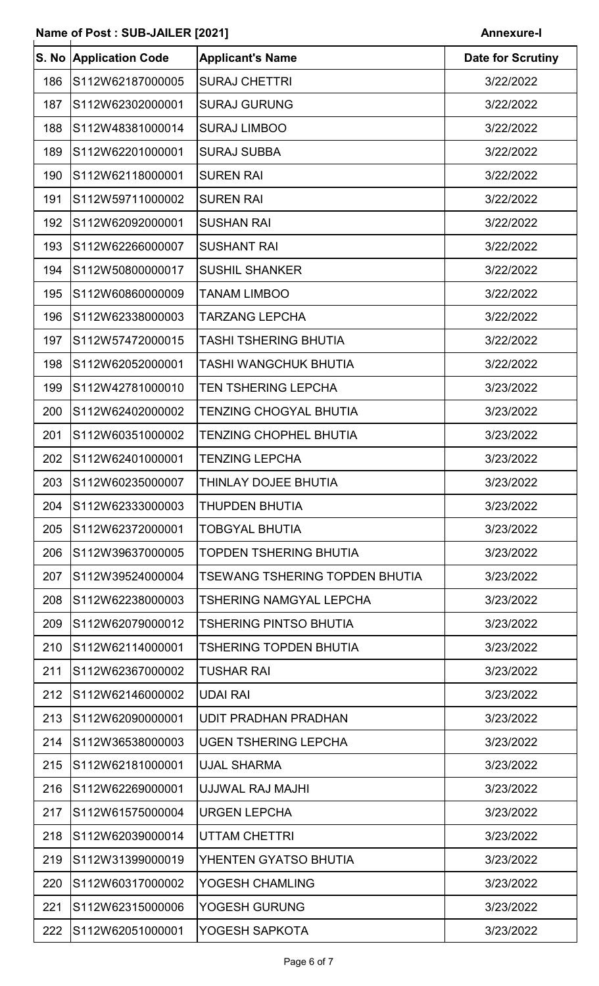| S. No | <b>Application Code</b> | <b>Applicant's Name</b>        | <b>Date for Scrutiny</b> |
|-------|-------------------------|--------------------------------|--------------------------|
| 186   | S112W62187000005        | <b>SURAJ CHETTRI</b>           | 3/22/2022                |
| 187   | S112W62302000001        | <b>SURAJ GURUNG</b>            | 3/22/2022                |
| 188   | S112W48381000014        | <b>SURAJ LIMBOO</b>            | 3/22/2022                |
| 189   | S112W62201000001        | <b>SURAJ SUBBA</b>             | 3/22/2022                |
| 190   | S112W62118000001        | <b>SUREN RAI</b>               | 3/22/2022                |
| 191   | S112W59711000002        | <b>SUREN RAI</b>               | 3/22/2022                |
| 192   | S112W62092000001        | <b>SUSHAN RAI</b>              | 3/22/2022                |
| 193   | S112W62266000007        | <b>SUSHANT RAI</b>             | 3/22/2022                |
| 194   | S112W50800000017        | <b>SUSHIL SHANKER</b>          | 3/22/2022                |
| 195   | S112W60860000009        | <b>TANAM LIMBOO</b>            | 3/22/2022                |
| 196   | S112W62338000003        | <b>TARZANG LEPCHA</b>          | 3/22/2022                |
| 197   | S112W57472000015        | <b>TASHI TSHERING BHUTIA</b>   | 3/22/2022                |
| 198   | S112W62052000001        | TASHI WANGCHUK BHUTIA          | 3/22/2022                |
| 199   | S112W42781000010        | <b>TEN TSHERING LEPCHA</b>     | 3/23/2022                |
| 200   | S112W62402000002        | <b>TENZING CHOGYAL BHUTIA</b>  | 3/23/2022                |
| 201   | S112W60351000002        | <b>TENZING CHOPHEL BHUTIA</b>  | 3/23/2022                |
| 202   | S112W62401000001        | <b>TENZING LEPCHA</b>          | 3/23/2022                |
| 203   | S112W60235000007        | THINLAY DOJEE BHUTIA           | 3/23/2022                |
| 204   | S112W62333000003        | <b>THUPDEN BHUTIA</b>          | 3/23/2022                |
| 205   | S112W62372000001        | <b>TOBGYAL BHUTIA</b>          | 3/23/2022                |
| 206   | S112W39637000005        | <b>TOPDEN TSHERING BHUTIA</b>  | 3/23/2022                |
| 207   | S112W39524000004        | TSEWANG TSHERING TOPDEN BHUTIA | 3/23/2022                |
| 208   | S112W62238000003        | <b>TSHERING NAMGYAL LEPCHA</b> | 3/23/2022                |
| 209   | S112W62079000012        | <b>TSHERING PINTSO BHUTIA</b>  | 3/23/2022                |
| 210   | S112W62114000001        | <b>TSHERING TOPDEN BHUTIA</b>  | 3/23/2022                |
| 211   | S112W62367000002        | <b>TUSHAR RAI</b>              | 3/23/2022                |
| 212   | S112W62146000002        | <b>UDAI RAI</b>                | 3/23/2022                |
| 213   | S112W62090000001        | <b>UDIT PRADHAN PRADHAN</b>    | 3/23/2022                |
| 214   | S112W36538000003        | <b>UGEN TSHERING LEPCHA</b>    | 3/23/2022                |
| 215   | S112W62181000001        | <b>UJAL SHARMA</b>             | 3/23/2022                |
| 216   | S112W62269000001        | UJJWAL RAJ MAJHI               | 3/23/2022                |
| 217   | S112W61575000004        | <b>URGEN LEPCHA</b>            | 3/23/2022                |
| 218   | S112W62039000014        | <b>UTTAM CHETTRI</b>           | 3/23/2022                |
| 219   | S112W31399000019        | YHENTEN GYATSO BHUTIA          | 3/23/2022                |
| 220   | S112W60317000002        | YOGESH CHAMLING                | 3/23/2022                |
| 221   | S112W62315000006        | YOGESH GURUNG                  | 3/23/2022                |
| 222   | S112W62051000001        | YOGESH SAPKOTA                 | 3/23/2022                |